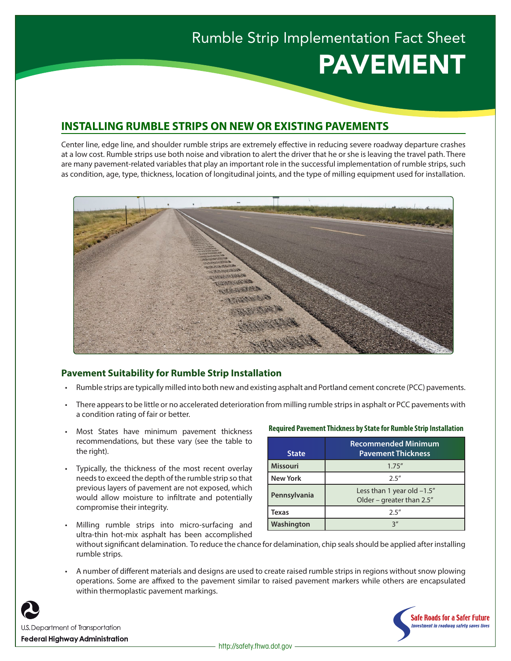# Rumble Strip Implementation Fact Sheet PAVEMENT

## **INSTALLING RUMBLE STRIPS ON NEW OR EXISTING PAVEMENTS**

Center line, edge line, and shoulder rumble strips are extremely effective in reducing severe roadway departure crashes at a low cost. Rumble strips use both noise and vibration to alert the driver that he or she is leaving the travel path. There are many pavement-related variables that play an important role in the successful implementation of rumble strips, such as condition, age, type, thickness, location of longitudinal joints, and the type of milling equipment used for installation.



## **Pavement Suitability for Rumble Strip Installation**

- Rumble strips are typically milled into both new and existing asphalt and Portland cement concrete (PCC) pavements.
- There appears to be little or no accelerated deterioration from milling rumble strips in asphalt or PCC pavements with a condition rating of fair or better.
- Most States have minimum pavement thickness recommendations, but these vary (see the table to the right).
- Typically, the thickness of the most recent overlay needs to exceed the depth of the rumble strip so that previous layers of pavement are not exposed, which would allow moisture to infiltrate and potentially compromise their integrity.

#### **Required Pavement Thickness by State for Rumble Strip Installation**

| <b>State</b>    | <b>Recommended Minimum</b><br><b>Pavement Thickness</b>       |
|-----------------|---------------------------------------------------------------|
| <b>Missouri</b> | 1.75''                                                        |
| <b>New York</b> | 2.5''                                                         |
| Pennsylvania    | Less than 1 year old $-1.5$ "<br>Older – greater than $2.5''$ |
| Texas           | 2.5''                                                         |
| Washington      | っ"                                                            |

- Milling rumble strips into micro-surfacing and ultra-thin hot-mix asphalt has been accomplished
- without significant delamination. To reduce the chance for delamination, chip seals should be applied after installing rumble strips.
- A number of different materials and designs are used to create raised rumble strips in regions without snow plowing operations. Some are affixed to the pavement similar to raised pavement markers while others are encapsulated within thermoplastic pavement markings.